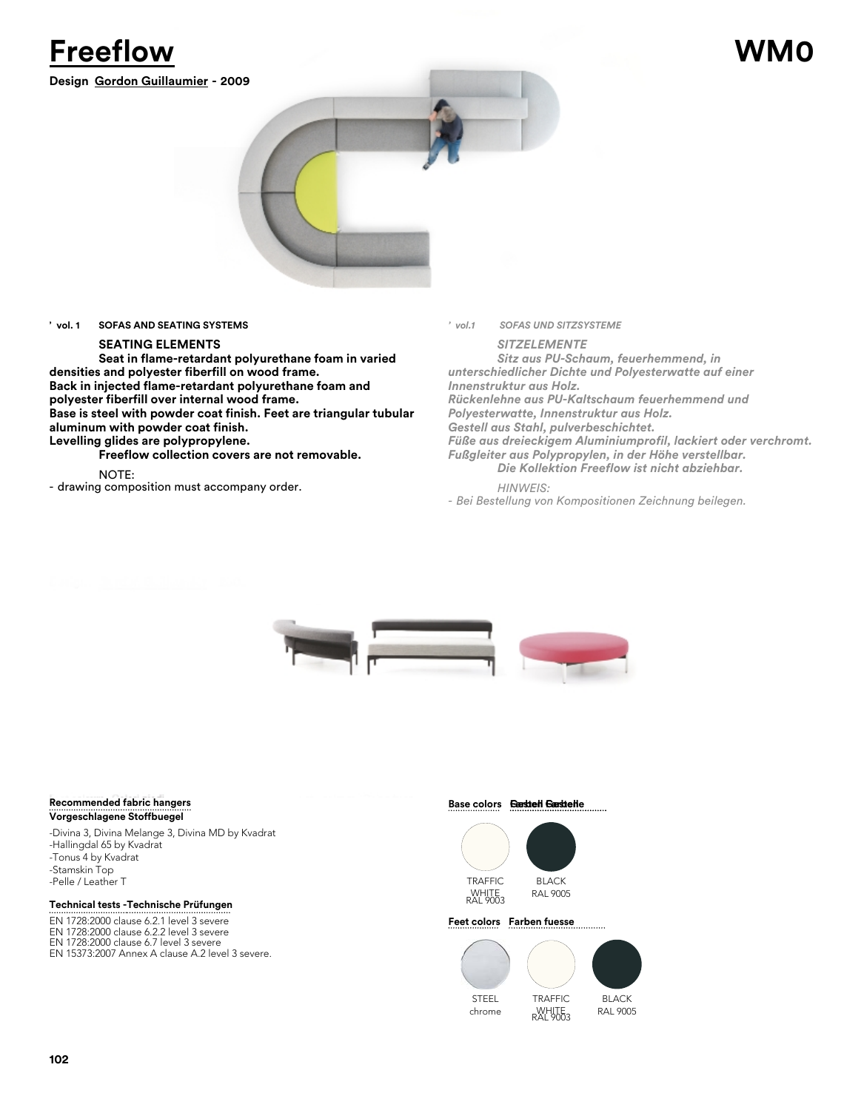



# **' vol. 1 SOFAS AND SEATING SYSTEMS**

# **SEATING ELEMENTS**

**Seat in flame-retardant polyurethane foam in varied densities and polyester fiberfill on wood frame. Back in injected flame-retardant polyurethane foam and polyester fiberfill over internal wood frame. Base is steel with powder coat finish. Feet are triangular tubular aluminum with powder coat finish. Levelling glides are polypropylene.**

**Freeflow collection covers are not removable.**

# NOTE:

- drawing composition must accompany order.

*' vol.1 SOFAS UND SITZSYSTEME*

*SITZELEMENTE Sitz aus PU-Schaum, feuerhemmend, in unterschiedlicher Dichte und Polyesterwatte auf einer Innenstruktur aus Holz. Rückenlehne aus PU-Kaltschaum feuerhemmend und Polyesterwatte, Innenstruktur aus Holz. Gestell aus Stahl, pulverbeschichtet. Füße aus dreieckigem Aluminiumprofil, lackiert oder verchromt. Fußgleiter aus Polypropylen, in der Höhe verstellbar. Die Kollektion Freeflow ist nicht abziehbar. HINWEIS:*

*- Bei Bestellung von Kompositionen Zeichnung beilegen.*



# **Recommended fabric hangers Vorgeschlagene Stoffbuegel**

-Divina 3, Divina Melange 3, Divina MD by Kvadrat -Hallingdal 65 by Kvadrat -Tonus 4 by Kvadrat -Stamskin Top -Pelle / Leather T TRAFFIC

# **Technical tests - Technische Prüfungen**

EN 1728:2000 clause 6.2.1 level 3 severe EN 1728:2000 clause 6.2.2 level 3 severe EN 1728:2000 clause 6.7 level 3 severe EN 15373:2007 Annex A clause A.2 level 3 severe.

# **Gestell Farben Farben Gestelle**



### **Feet colors Farben fuesse**





**102**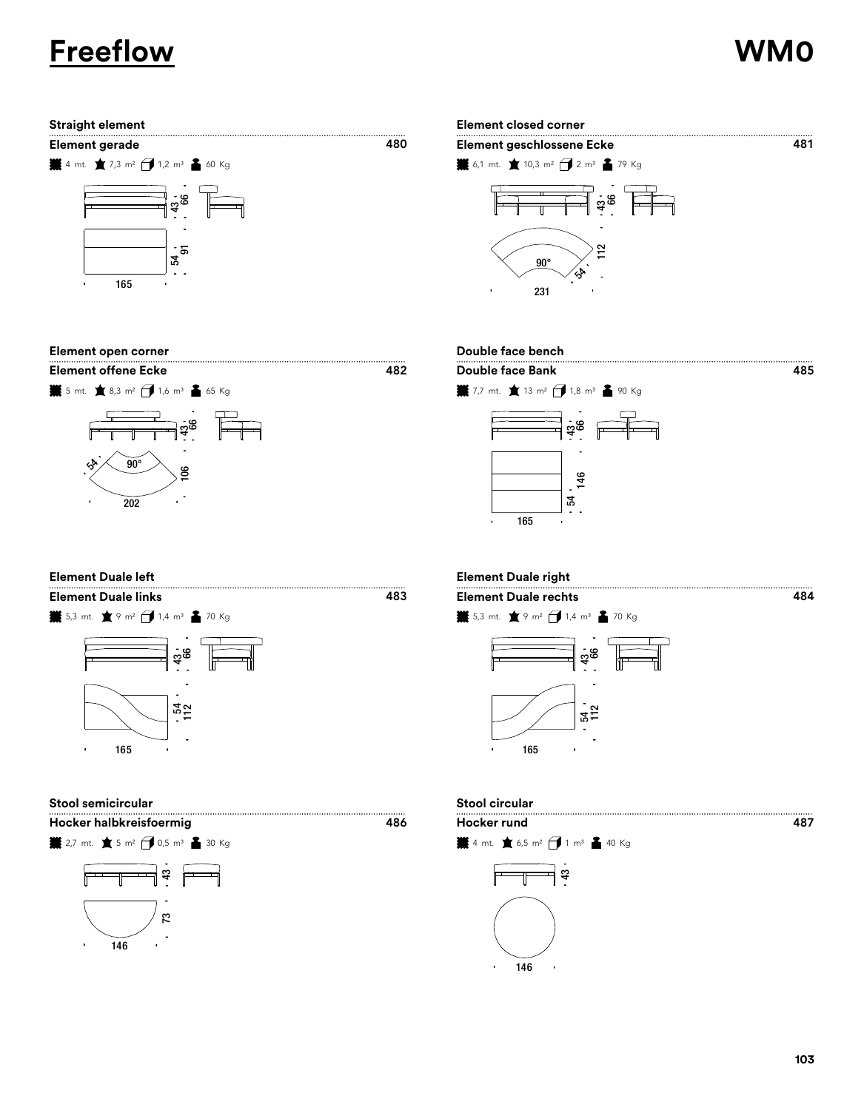# **Freeflow WM0**













| <b>Element Duale left</b>  |  |
|----------------------------|--|
| <b>Element Duale links</b> |  |



**Stool semicircular Stool circular**

**Hocker halbkreisfoermig Hocker rund**